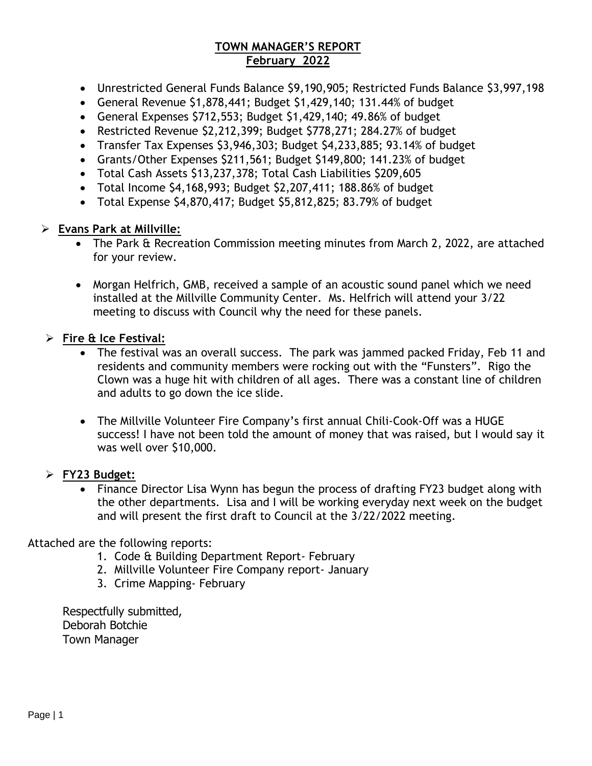### **TOWN MANAGER'S REPORT February 2022**

- Unrestricted General Funds Balance \$9,190,905; Restricted Funds Balance \$3,997,198
- General Revenue \$1,878,441; Budget \$1,429,140; 131.44% of budget
- General Expenses \$712,553; Budget \$1,429,140; 49.86% of budget
- Restricted Revenue \$2,212,399; Budget \$778,271; 284.27% of budget
- Transfer Tax Expenses \$3,946,303; Budget \$4,233,885; 93.14% of budget
- Grants/Other Expenses \$211,561; Budget \$149,800; 141.23% of budget
- Total Cash Assets \$13,237,378; Total Cash Liabilities \$209,605
- Total Income \$4,168,993; Budget \$2,207,411; 188.86% of budget
- Total Expense \$4,870,417; Budget \$5,812,825; 83.79% of budget

### ➢ **Evans Park at Millville:**

- The Park & Recreation Commission meeting minutes from March 2, 2022, are attached for your review.
- Morgan Helfrich, GMB, received a sample of an acoustic sound panel which we need installed at the Millville Community Center. Ms. Helfrich will attend your 3/22 meeting to discuss with Council why the need for these panels.

## ➢ **Fire & Ice Festival:**

- The festival was an overall success. The park was jammed packed Friday, Feb 11 and residents and community members were rocking out with the "Funsters". Rigo the Clown was a huge hit with children of all ages. There was a constant line of children and adults to go down the ice slide.
- The Millville Volunteer Fire Company's first annual Chili-Cook-Off was a HUGE success! I have not been told the amount of money that was raised, but I would say it was well over \$10,000.

## ➢ **FY23 Budget:**

• Finance Director Lisa Wynn has begun the process of drafting FY23 budget along with the other departments. Lisa and I will be working everyday next week on the budget and will present the first draft to Council at the 3/22/2022 meeting.

### Attached are the following reports:

- 1. Code & Building Department Report- February
- 2. Millville Volunteer Fire Company report- January
- 3. Crime Mapping- February

Respectfully submitted, Deborah Botchie Town Manager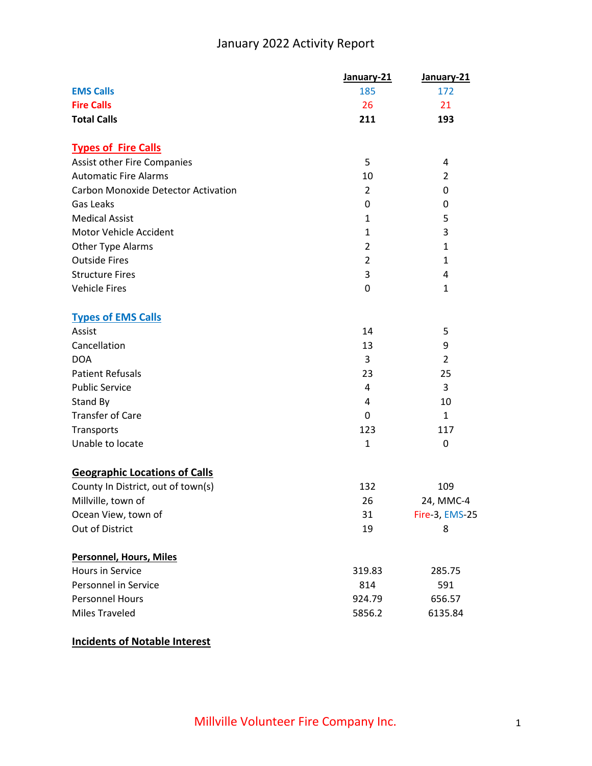## January 2022 Activity Report

|                                            | January-21     | January-21     |
|--------------------------------------------|----------------|----------------|
| <b>EMS Calls</b>                           | 185            | 172            |
| <b>Fire Calls</b>                          | 26             | 21             |
| <b>Total Calls</b>                         | 211            | 193            |
| <b>Types of Fire Calls</b>                 |                |                |
| Assist other Fire Companies                | 5              | 4              |
| <b>Automatic Fire Alarms</b>               | 10             | $\overline{2}$ |
| <b>Carbon Monoxide Detector Activation</b> | $\overline{2}$ | 0              |
| Gas Leaks                                  | 0              | 0              |
| <b>Medical Assist</b>                      | 1              | 5              |
| Motor Vehicle Accident                     | $\mathbf{1}$   | 3              |
| Other Type Alarms                          | $\overline{2}$ | 1              |
| <b>Outside Fires</b>                       | $\overline{2}$ | 1              |
| <b>Structure Fires</b>                     | 3              | 4              |
| <b>Vehicle Fires</b>                       | 0              | 1              |
| <b>Types of EMS Calls</b>                  |                |                |
| Assist                                     | 14             | 5              |
| Cancellation                               | 13             | 9              |
| <b>DOA</b>                                 | 3              | $\overline{2}$ |
| <b>Patient Refusals</b>                    | 23             | 25             |
| <b>Public Service</b>                      | 4              | 3              |
| Stand By                                   | 4              | 10             |
| <b>Transfer of Care</b>                    | 0              | 1              |
| Transports                                 | 123            | 117            |
| Unable to locate                           | $\mathbf{1}$   | 0              |
| <b>Geographic Locations of Calls</b>       |                |                |
| County In District, out of town(s)         | 132            | 109            |
| Millville, town of                         | 26             | 24, MMC-4      |
| Ocean View, town of                        | 31             | Fire-3, EMS-25 |
| Out of District                            | 19             | 8              |
| <b>Personnel, Hours, Miles</b>             |                |                |
| Hours in Service                           | 319.83         | 285.75         |
| Personnel in Service                       | 814            | 591            |
| <b>Personnel Hours</b>                     | 924.79         | 656.57         |
| <b>Miles Traveled</b>                      | 5856.2         | 6135.84        |

## **Incidents of Notable Interest**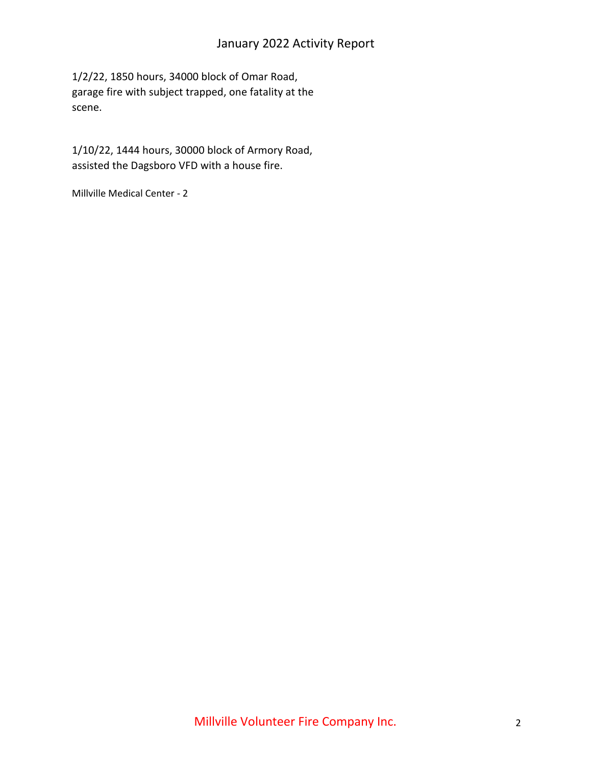## January 2022 Activity Report

1/2/22, 1850 hours, 34000 block of Omar Road, garage fire with subject trapped, one fatality at the scene.

1/10/22, 1444 hours, 30000 block of Armory Road, assisted the Dagsboro VFD with a house fire.

Millville Medical Center - 2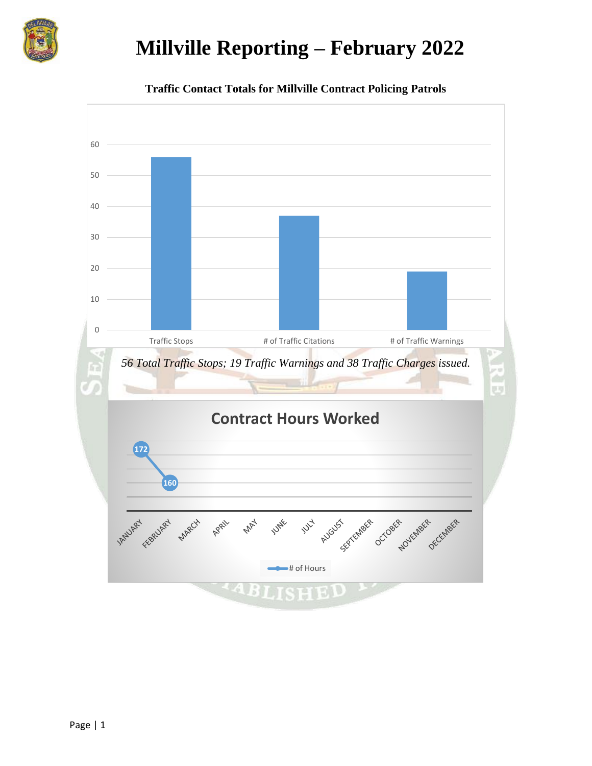

# **Millville Reporting – February 2022**



**Traffic Contact Totals for Millville Contract Policing Patrols**